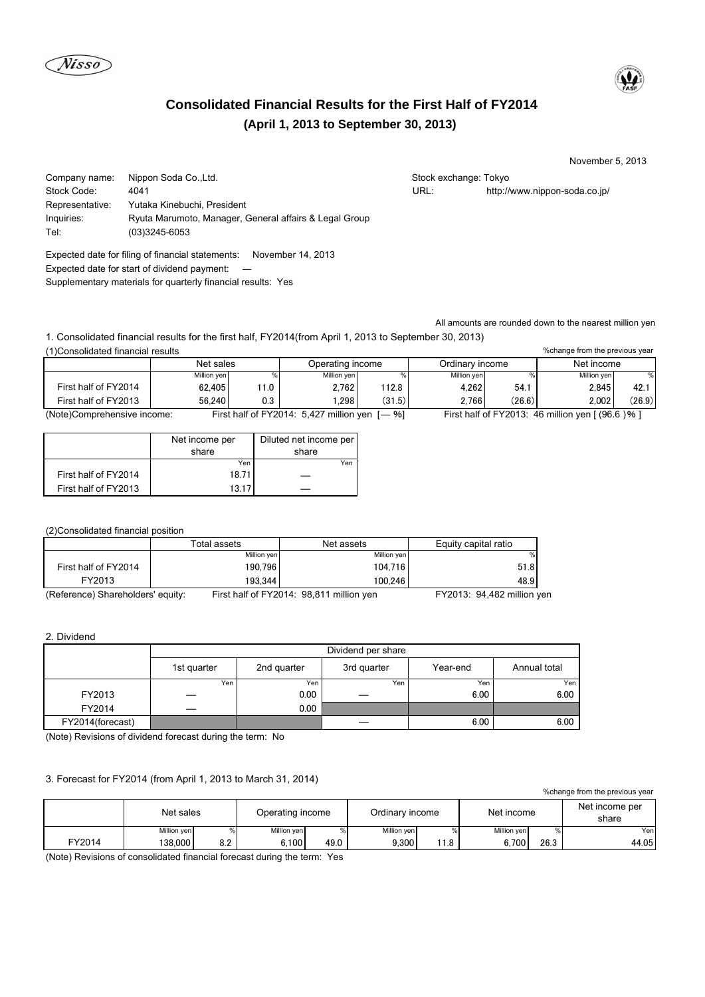



# **(April 1, 2013 to September 30, 2013) Consolidated Financial Results for the First Half of FY2014**

November 5, 2013

%change from the previous year

| Stock exchange: Tokyo |                            |
|-----------------------|----------------------------|
| URL:                  | http://www.nippon-soda.co. |

Company name: Nippon Soda Co., Ltd. Stock Code: 4041 URL: http://www.nippon-soda.co.jp/ Representative: Yutaka Kinebuchi, President Inquiries: Ryuta Marumoto, Manager, General affairs & Legal Group Tel: (03)3245-6053

Expected date for filing of financial statements: November 14, 2013 Expected date for start of dividend payment: ― Supplementary materials for quarterly financial results: Yes

All amounts are rounded down to the nearest million yen

1. Consolidated financial results for the first half, FY2014(from April 1, 2013 to September 30, 2013) (1)Consolidated financial results

|                             | Net sales   |     | Operating income                              |        | Ordinary income |        | Net income  |        |
|-----------------------------|-------------|-----|-----------------------------------------------|--------|-----------------|--------|-------------|--------|
|                             | Million yen |     | Million ven                                   |        | Million ven     |        | Million ven | $\%$   |
| First half of FY2014        | 62.405      | 1.0 | 2.762                                         | 112.8  | 4.262           | 54.1   | 2.845       | 42.    |
| First half of FY2013        | 56.240      | 0.3 | .298                                          | (31.5) | 2.766           | (26.6) | 2.002       | (26.9) |
| (Note)Comprehensive income: |             |     | First half of $FY2014 \cdot 5427$ million ven | %ነ     |                 |        |             |        |

(Note)Comprehensive income: First half of FY2014: 5,427 million yen [― %] First half of FY2013: 46 million yen [ (96.6 )% ]

|                      | Diluted net income per<br>Net income per |       |
|----------------------|------------------------------------------|-------|
|                      | share                                    | share |
|                      | Yen                                      | Yen   |
| First half of FY2014 | 18.71                                    |       |
| First half of FY2013 | 13.17                                    |       |

## (2)Consolidated financial position

|                                   | Total assets | Net assets                                      | Equity capital ratio      |
|-----------------------------------|--------------|-------------------------------------------------|---------------------------|
|                                   | Million ven  | Million yen                                     | %                         |
| First half of FY2014              | 190.796      | 104.716                                         | 51.8                      |
| FY2013                            | 193.344      | 100.246                                         | 48.9                      |
| (Deference) Shareholders' equity: |              | First half of $EV2014 \cdot 08.811$ million von | $EV2013.0449$ million $W$ |

(Reference) Shareholders' equity: First half of FY2014: 98,811 million yen FY2013: 94,482 million yen

### 2. Dividend

|                  | Dividend per share |             |             |          |              |  |  |
|------------------|--------------------|-------------|-------------|----------|--------------|--|--|
|                  | 1st quarter        | 2nd quarter | 3rd quarter | Year-end | Annual total |  |  |
|                  | Yen                | Yen         | Yen         | Yen      | Yen          |  |  |
| FY2013           |                    | 0.00        | _           | 6.00     | 6.00         |  |  |
| FY2014           |                    | 0.00        |             |          |              |  |  |
| FY2014(forecast) |                    |             |             | 6.00     | 6.00         |  |  |

(Note) Revisions of dividend forecast during the term: No

### 3. Forecast for FY2014 (from April 1, 2013 to March 31, 2014)

| % change from the previous year |             |     |                  |      |                 |      |             |      |                         |
|---------------------------------|-------------|-----|------------------|------|-----------------|------|-------------|------|-------------------------|
|                                 | Net sales   |     | Operating income |      | Ordinary income |      | Net income  |      | Net income per<br>share |
|                                 | Million yen |     | Million yen      |      | Million yen     |      | Million yen | $\%$ | Yenl                    |
| FY2014                          | 38,000      | 8.2 | 6.100            | 49.0 | 9.300           | 11.8 | 6.700       | 26.3 | 44.05                   |

(Note) Revisions of consolidated financial forecast during the term: Yes